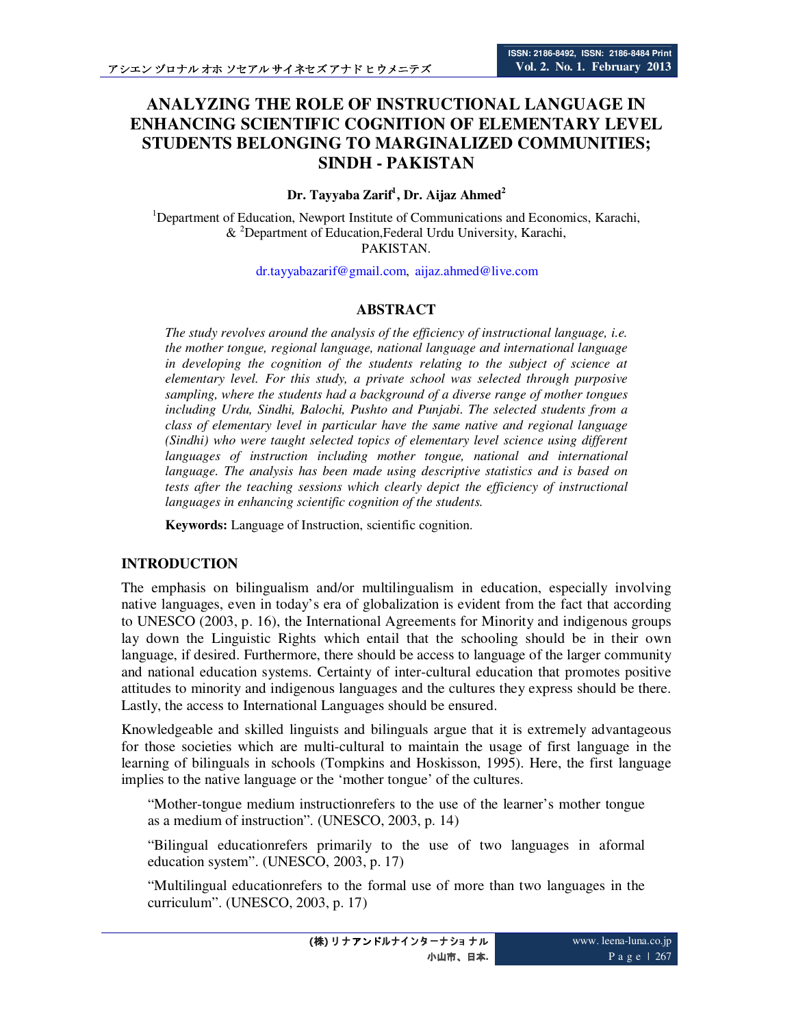# **ANALYZING THE ROLE OF INSTRUCTIONAL LANGUAGE IN ENHANCING SCIENTIFIC COGNITION OF ELEMENTARY LEVEL STUDENTS BELONGING TO MARGINALIZED COMMUNITIES; SINDH - PAKISTAN**

### **Dr. Tayyaba Zarif<sup>1</sup> , Dr. Aijaz Ahmed<sup>2</sup>**

<sup>1</sup>Department of Education, Newport Institute of Communications and Economics, Karachi,  $&^2$ Department of Education, Federal Urdu University, Karachi, PAKISTAN.

dr.tayyabazarif@gmail.com, aijaz.ahmed@live.com

### **ABSTRACT**

*The study revolves around the analysis of the efficiency of instructional language, i.e. the mother tongue, regional language, national language and international language in developing the cognition of the students relating to the subject of science at elementary level. For this study, a private school was selected through purposive sampling, where the students had a background of a diverse range of mother tongues including Urdu, Sindhi, Balochi, Pushto and Punjabi. The selected students from a class of elementary level in particular have the same native and regional language (Sindhi) who were taught selected topics of elementary level science using different*  languages of instruction including mother tongue, national and international *language. The analysis has been made using descriptive statistics and is based on tests after the teaching sessions which clearly depict the efficiency of instructional languages in enhancing scientific cognition of the students.* 

**Keywords:** Language of Instruction, scientific cognition.

### **INTRODUCTION**

The emphasis on bilingualism and/or multilingualism in education, especially involving native languages, even in today's era of globalization is evident from the fact that according to UNESCO (2003, p. 16), the International Agreements for Minority and indigenous groups lay down the Linguistic Rights which entail that the schooling should be in their own language, if desired. Furthermore, there should be access to language of the larger community and national education systems. Certainty of inter-cultural education that promotes positive attitudes to minority and indigenous languages and the cultures they express should be there. Lastly, the access to International Languages should be ensured.

Knowledgeable and skilled linguists and bilinguals argue that it is extremely advantageous for those societies which are multi-cultural to maintain the usage of first language in the learning of bilinguals in schools (Tompkins and Hoskisson, 1995). Here, the first language implies to the native language or the 'mother tongue' of the cultures.

"Mother-tongue medium instructionrefers to the use of the learner's mother tongue as a medium of instruction". (UNESCO, 2003, p. 14)

"Bilingual educationrefers primarily to the use of two languages in aformal education system". (UNESCO, 2003, p. 17)

"Multilingual educationrefers to the formal use of more than two languages in the curriculum". (UNESCO, 2003, p. 17)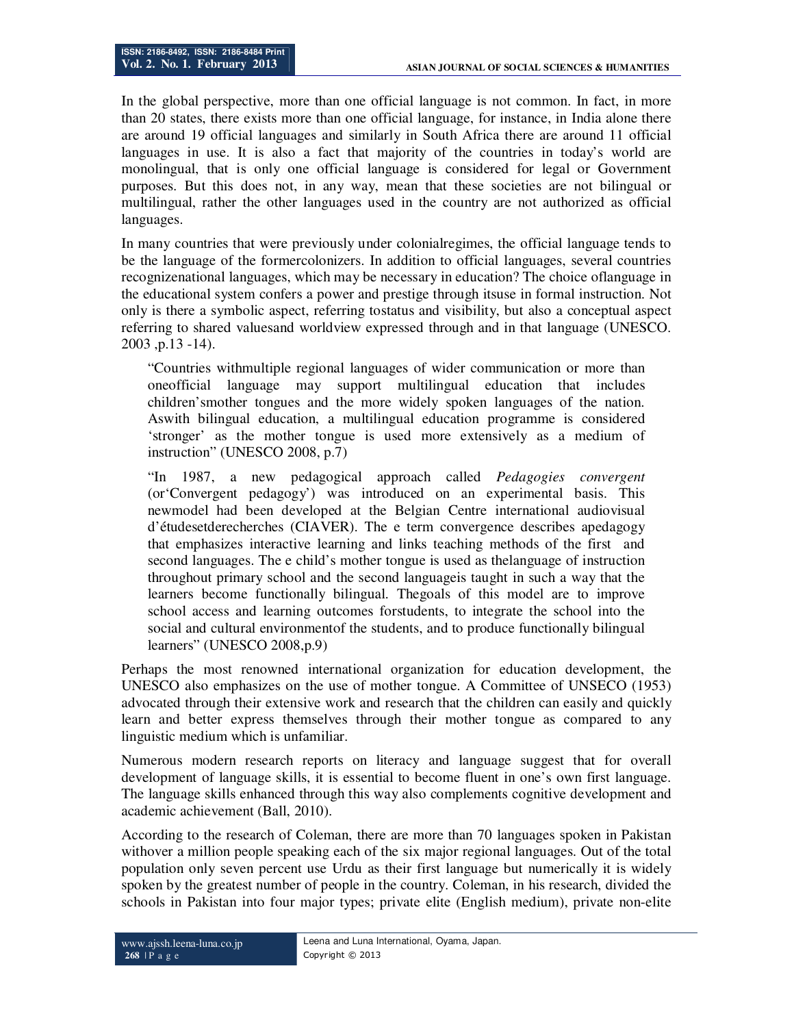In the global perspective, more than one official language is not common. In fact, in more than 20 states, there exists more than one official language, for instance, in India alone there are around 19 official languages and similarly in South Africa there are around 11 official languages in use. It is also a fact that majority of the countries in today's world are monolingual, that is only one official language is considered for legal or Government purposes. But this does not, in any way, mean that these societies are not bilingual or multilingual, rather the other languages used in the country are not authorized as official languages.

In many countries that were previously under colonialregimes, the official language tends to be the language of the formercolonizers. In addition to official languages, several countries recognizenational languages, which may be necessary in education? The choice oflanguage in the educational system confers a power and prestige through itsuse in formal instruction. Not only is there a symbolic aspect, referring tostatus and visibility, but also a conceptual aspect referring to shared valuesand worldview expressed through and in that language (UNESCO. 2003 ,p.13 -14).

"Countries withmultiple regional languages of wider communication or more than oneofficial language may support multilingual education that includes children'smother tongues and the more widely spoken languages of the nation. Aswith bilingual education, a multilingual education programme is considered 'stronger' as the mother tongue is used more extensively as a medium of instruction" (UNESCO 2008, p.7)

"In 1987, a new pedagogical approach called *Pedagogies convergent* (or'Convergent pedagogy') was introduced on an experimental basis. This newmodel had been developed at the Belgian Centre international audiovisual d'étudesetderecherches (CIAVER). The e term convergence describes apedagogy that emphasizes interactive learning and links teaching methods of the first and second languages. The e child's mother tongue is used as thelanguage of instruction throughout primary school and the second languageis taught in such a way that the learners become functionally bilingual. Thegoals of this model are to improve school access and learning outcomes forstudents, to integrate the school into the social and cultural environmentof the students, and to produce functionally bilingual learners" (UNESCO 2008,p.9)

Perhaps the most renowned international organization for education development, the UNESCO also emphasizes on the use of mother tongue. A Committee of UNSECO (1953) advocated through their extensive work and research that the children can easily and quickly learn and better express themselves through their mother tongue as compared to any linguistic medium which is unfamiliar.

Numerous modern research reports on literacy and language suggest that for overall development of language skills, it is essential to become fluent in one's own first language. The language skills enhanced through this way also complements cognitive development and academic achievement (Ball, 2010).

According to the research of Coleman, there are more than 70 languages spoken in Pakistan withover a million people speaking each of the six major regional languages. Out of the total population only seven percent use Urdu as their first language but numerically it is widely spoken by the greatest number of people in the country. Coleman, in his research, divided the schools in Pakistan into four major types; private elite (English medium), private non-elite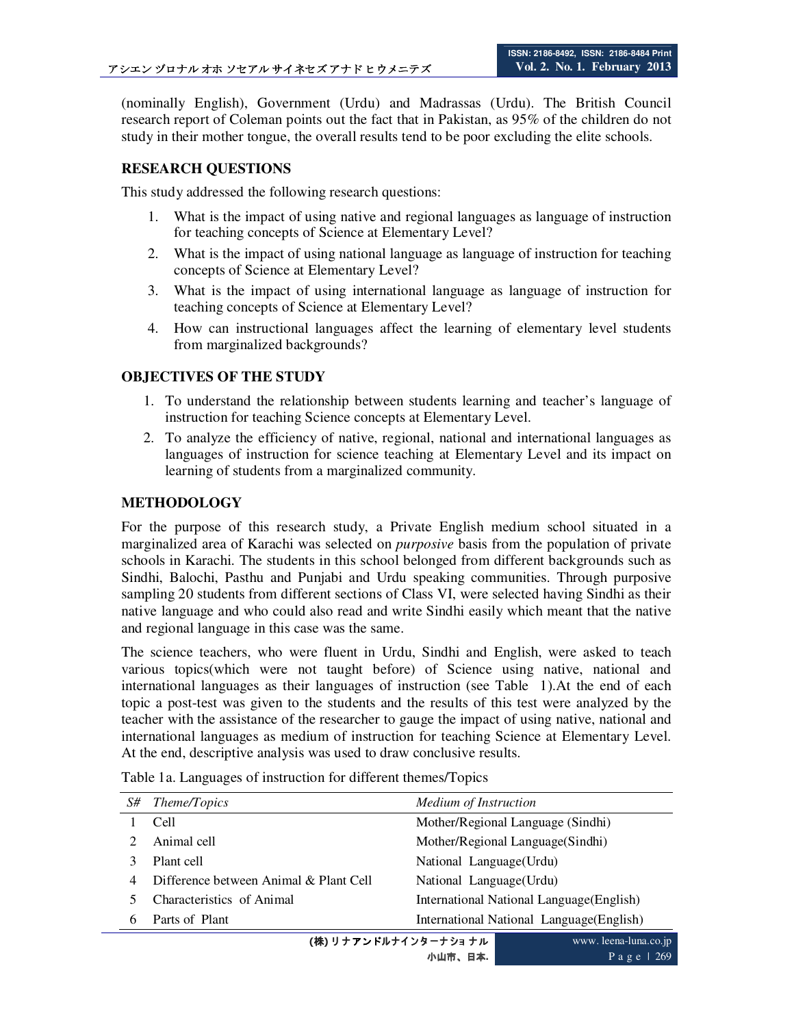(nominally English), Government (Urdu) and Madrassas (Urdu). The British Council research report of Coleman points out the fact that in Pakistan, as 95% of the children do not study in their mother tongue, the overall results tend to be poor excluding the elite schools.

# **RESEARCH QUESTIONS**

This study addressed the following research questions:

- 1. What is the impact of using native and regional languages as language of instruction for teaching concepts of Science at Elementary Level?
- 2. What is the impact of using national language as language of instruction for teaching concepts of Science at Elementary Level?
- 3. What is the impact of using international language as language of instruction for teaching concepts of Science at Elementary Level?
- 4. How can instructional languages affect the learning of elementary level students from marginalized backgrounds?

### **OBJECTIVES OF THE STUDY**

- 1. To understand the relationship between students learning and teacher's language of instruction for teaching Science concepts at Elementary Level.
- 2. To analyze the efficiency of native, regional, national and international languages as languages of instruction for science teaching at Elementary Level and its impact on learning of students from a marginalized community.

# **METHODOLOGY**

For the purpose of this research study, a Private English medium school situated in a marginalized area of Karachi was selected on *purposive* basis from the population of private schools in Karachi. The students in this school belonged from different backgrounds such as Sindhi, Balochi, Pasthu and Punjabi and Urdu speaking communities. Through purposive sampling 20 students from different sections of Class VI, were selected having Sindhi as their native language and who could also read and write Sindhi easily which meant that the native and regional language in this case was the same.

The science teachers, who were fluent in Urdu, Sindhi and English, were asked to teach various topics(which were not taught before) of Science using native, national and international languages as their languages of instruction (see Table 1).At the end of each topic a post-test was given to the students and the results of this test were analyzed by the teacher with the assistance of the researcher to gauge the impact of using native, national and international languages as medium of instruction for teaching Science at Elementary Level. At the end, descriptive analysis was used to draw conclusive results.

|                              | S# Theme/Topics                        | Medium of Instruction                     |  |  |  |
|------------------------------|----------------------------------------|-------------------------------------------|--|--|--|
|                              | Cell                                   | Mother/Regional Language (Sindhi)         |  |  |  |
|                              | Animal cell                            | Mother/Regional Language(Sindhi)          |  |  |  |
|                              | Plant cell                             | National Language (Urdu)                  |  |  |  |
| 4                            | Difference between Animal & Plant Cell | National Language (Urdu)                  |  |  |  |
|                              | Characteristics of Animal              | International National Language (English) |  |  |  |
| 6                            | Parts of Plant                         | International National Language(English)  |  |  |  |
| account to see these we feel |                                        |                                           |  |  |  |

Table 1a. Languages of instruction for different themes/Topics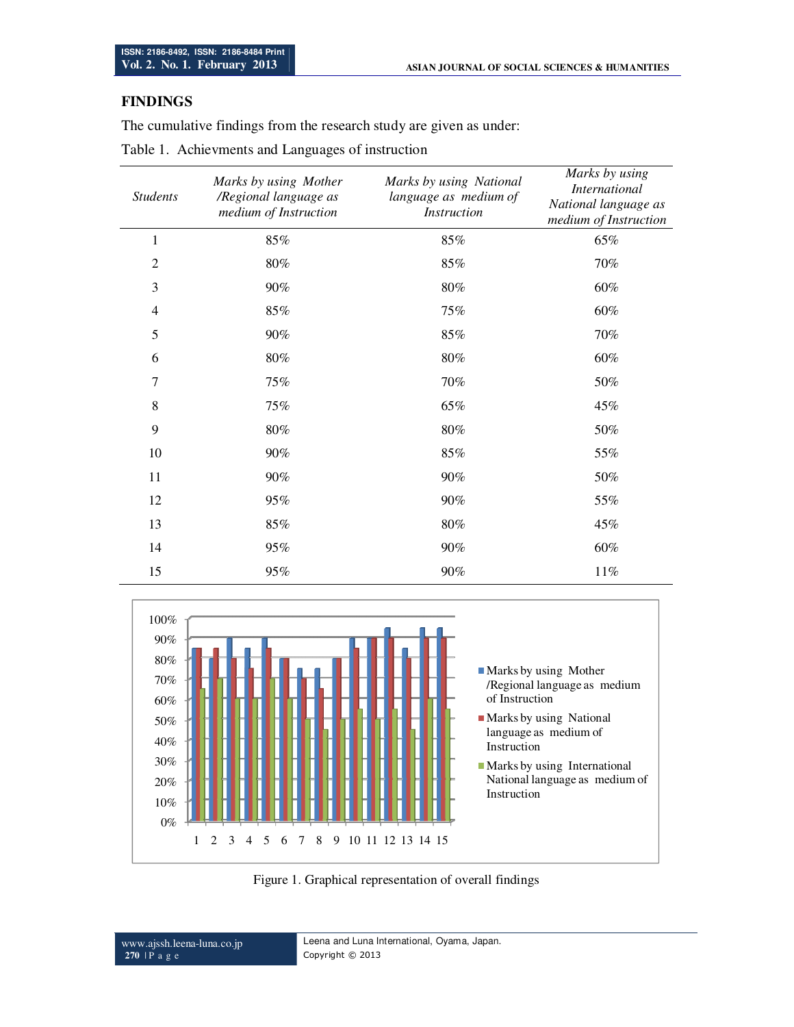# **FINDINGS**

The cumulative findings from the research study are given as under:

| <b>Students</b> | Marks by using Mother<br>/Regional language as<br>medium of Instruction | Marks by using National<br>language as medium of<br><b>Instruction</b> | Marks by using<br><b>International</b><br>National language as<br>medium of Instruction |  |
|-----------------|-------------------------------------------------------------------------|------------------------------------------------------------------------|-----------------------------------------------------------------------------------------|--|
| $\mathbf{1}$    | 85%                                                                     | 85%                                                                    | 65%                                                                                     |  |
| $\overline{2}$  | $80\%$                                                                  | $85\%$                                                                 | 70%                                                                                     |  |
| 3               | $90\%$                                                                  | $80\%$                                                                 | 60%                                                                                     |  |
| $\overline{4}$  | 85%                                                                     | 75%                                                                    | 60%                                                                                     |  |
| 5               | $90\%$                                                                  | 85%                                                                    | 70%                                                                                     |  |
| 6               | $80\%$                                                                  | $80\%$                                                                 | 60%                                                                                     |  |
| $\overline{7}$  | 75%                                                                     | 70%                                                                    | 50%                                                                                     |  |
| 8               | 75%                                                                     | 65%                                                                    | 45%                                                                                     |  |
| 9               | $80\%$                                                                  | $80\%$                                                                 | 50%                                                                                     |  |
| 10              | 90%                                                                     | 85%                                                                    | 55%                                                                                     |  |
| 11              | 90%                                                                     | 90%                                                                    | 50%                                                                                     |  |
| 12              | 95%                                                                     | 90%                                                                    | 55%                                                                                     |  |
| 13              | 85%                                                                     | $80\%$                                                                 | 45%                                                                                     |  |
| 14              | 95%                                                                     | 90%                                                                    | 60%                                                                                     |  |
| 15              | 95%                                                                     | 90%                                                                    | 11%                                                                                     |  |



Figure 1. Graphical representation of overall findings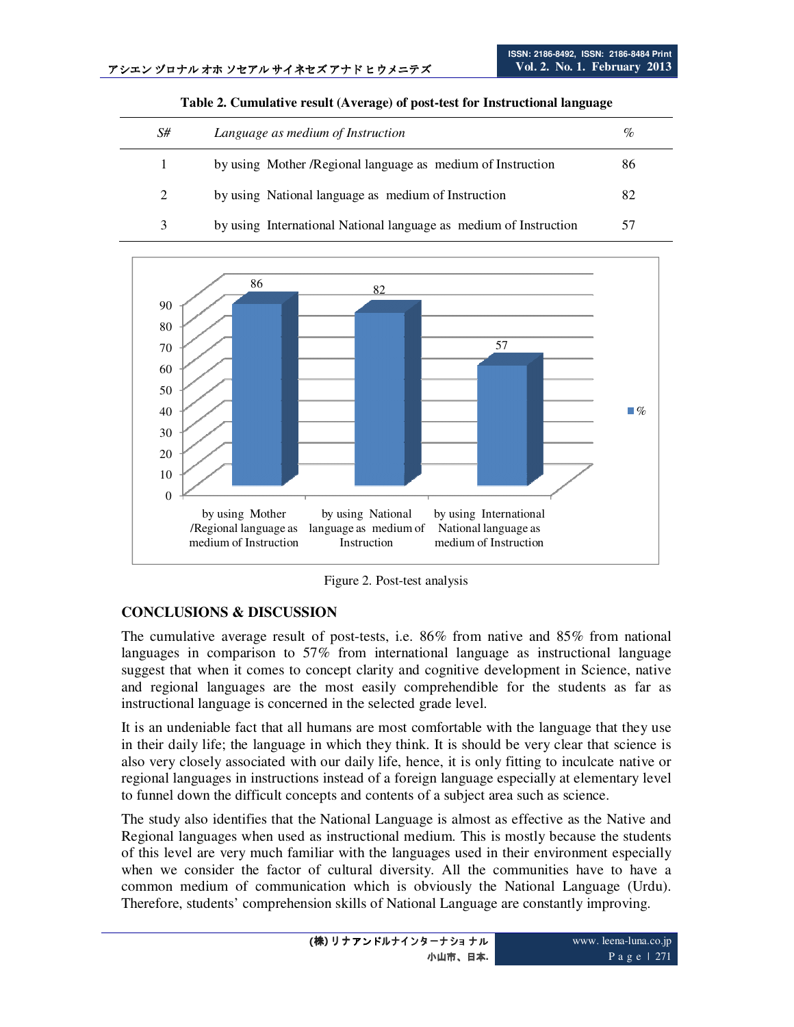| S# | Language as medium of Instruction                                 | $\%$ |
|----|-------------------------------------------------------------------|------|
|    | by using Mother / Regional language as medium of Instruction      | 86   |
| 2  | by using National language as medium of Instruction               | 82   |
| 3  | by using International National language as medium of Instruction | 57   |

**Table 2. Cumulative result (Average) of post-test for Instructional language** 



Figure 2. Post-test analysis

### **CONCLUSIONS & DISCUSSION**

The cumulative average result of post-tests, i.e. 86% from native and 85% from national languages in comparison to 57% from international language as instructional language suggest that when it comes to concept clarity and cognitive development in Science, native and regional languages are the most easily comprehendible for the students as far as instructional language is concerned in the selected grade level.

It is an undeniable fact that all humans are most comfortable with the language that they use in their daily life; the language in which they think. It is should be very clear that science is also very closely associated with our daily life, hence, it is only fitting to inculcate native or regional languages in instructions instead of a foreign language especially at elementary level to funnel down the difficult concepts and contents of a subject area such as science.

The study also identifies that the National Language is almost as effective as the Native and Regional languages when used as instructional medium. This is mostly because the students of this level are very much familiar with the languages used in their environment especially when we consider the factor of cultural diversity. All the communities have to have a common medium of communication which is obviously the National Language (Urdu). Therefore, students' comprehension skills of National Language are constantly improving.